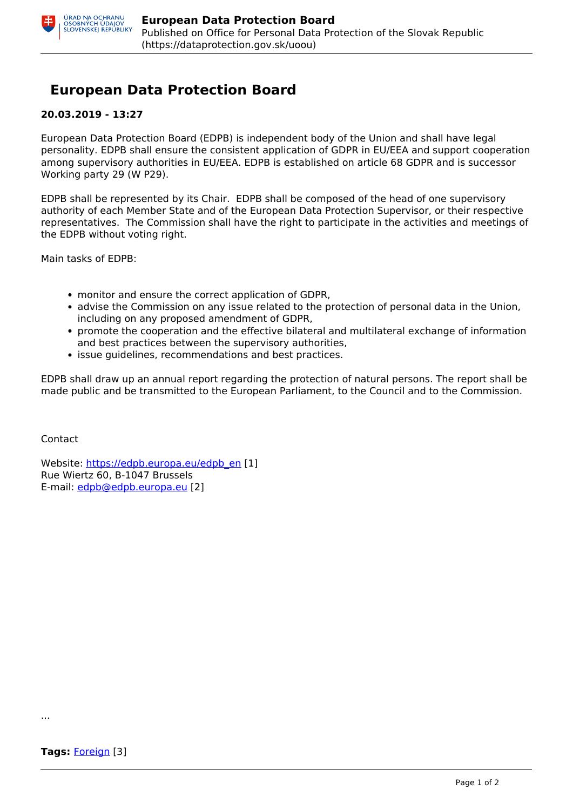## **European Data Protection Board**

## **20.03.2019 - 13:27**

European Data Protection Board (EDPB) is independent body of the Union and shall have legal personality. EDPB shall ensure the consistent application of GDPR in EU/EEA and support cooperation among supervisory authorities in EU/EEA. EDPB is established on article 68 GDPR and is successor Working party 29 (W P29).

EDPB shall be represented by its Chair. EDPB shall be composed of the head of one supervisory authority of each Member State and of the European Data Protection Supervisor, or their respective representatives. The Commission shall have the right to participate in the activities and meetings of the EDPB without voting right.

Main tasks of EDPB:

- monitor and ensure the correct application of GDPR,
- advise the Commission on any issue related to the protection of personal data in the Union, including on any proposed amendment of GDPR,
- promote the cooperation and the effective bilateral and multilateral exchange of information and best practices between the supervisory authorities,
- issue quidelines, recommendations and best practices.

EDPB shall draw up an annual report regarding the protection of natural persons. The report shall be made public and be transmitted to the European Parliament, to the Council and to the Commission.

Contact

Website: [https://edpb.europa.eu/edpb\\_en](https://edpb.europa.eu/edpb_en) [1] Rue Wiertz 60, B-1047 Brussels E-mail: [edpb@edpb.europa.eu](mailto:edpb@edpb.europa.eu) [2]

...